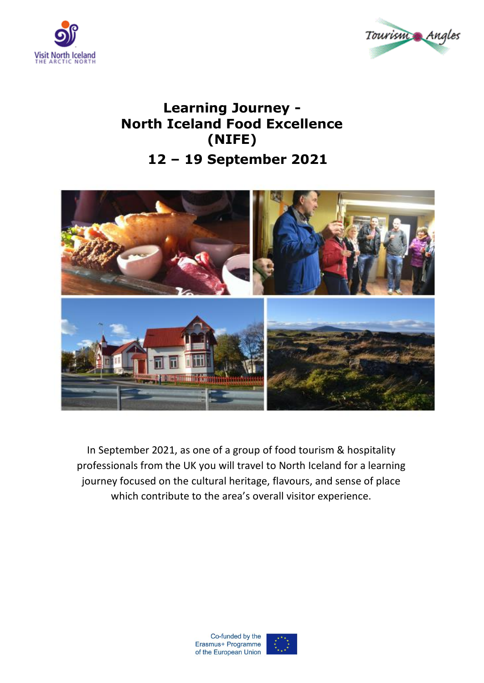



## **Learning Journey - North Iceland Food Excellence (NIFE) 12 – 19 September 2021**



In September 2021, as one of a group of food tourism & hospitality professionals from the UK you will travel to North Iceland for a learning journey focused on the cultural heritage, flavours, and sense of place which contribute to the area's overall visitor experience.

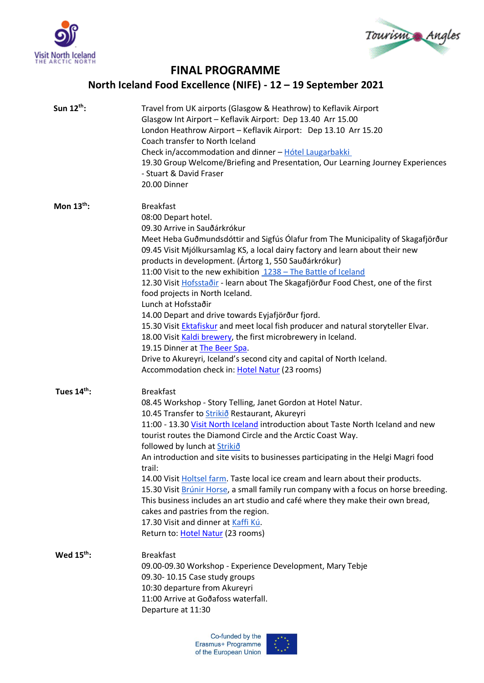



## **FINAL PROGRAMME**

## **North Iceland Food Excellence (NIFE) - 12 – 19 September 2021**

| Sun $12^{th}$ : | Travel from UK airports (Glasgow & Heathrow) to Keflavik Airport<br>Glasgow Int Airport - Keflavik Airport: Dep 13.40 Arr 15.00<br>London Heathrow Airport - Keflavik Airport: Dep 13.10 Arr 15.20<br>Coach transfer to North Iceland<br>Check in/accommodation and dinner - Hótel Laugarbakki<br>19.30 Group Welcome/Briefing and Presentation, Our Learning Journey Experiences<br>- Stuart & David Fraser<br>20.00 Dinner                                                                                                                                                                                                                                                                                                                                                                                                                                                                     |
|-----------------|--------------------------------------------------------------------------------------------------------------------------------------------------------------------------------------------------------------------------------------------------------------------------------------------------------------------------------------------------------------------------------------------------------------------------------------------------------------------------------------------------------------------------------------------------------------------------------------------------------------------------------------------------------------------------------------------------------------------------------------------------------------------------------------------------------------------------------------------------------------------------------------------------|
| Mon $13th$ :    | <b>Breakfast</b><br>08:00 Depart hotel.<br>09.30 Arrive in Sauðárkrókur<br>Meet Heba Guðmundsdóttir and Sigfús Ólafur from The Municipality of Skagafjörður<br>09.45 Visit Mjólkursamlag KS, a local dairy factory and learn about their new<br>products in development. (Ártorg 1, 550 Sauðárkrókur)<br>11:00 Visit to the new exhibition 1238 - The Battle of Iceland<br>12.30 Visit Hofsstaðir - learn about The Skagafjörður Food Chest, one of the first<br>food projects in North Iceland.<br>Lunch at Hofsstaðir<br>14.00 Depart and drive towards Eyjafjörður fjord.<br>15.30 Visit Ektafiskur and meet local fish producer and natural storyteller Elvar.<br>18.00 Visit Kaldi brewery, the first microbrewery in Iceland.<br>19.15 Dinner at The Beer Spa.<br>Drive to Akureyri, Iceland's second city and capital of North Iceland.<br>Accommodation check in: Hotel Natur (23 rooms) |
| Tues 14th:      | <b>Breakfast</b><br>08.45 Workshop - Story Telling, Janet Gordon at Hotel Natur.<br>10.45 Transfer to <b>Strikið</b> Restaurant, Akureyri<br>11:00 - 13.30 Visit North Iceland introduction about Taste North Iceland and new<br>tourist routes the Diamond Circle and the Arctic Coast Way.<br>followed by lunch at <b>Strikio</b><br>An introduction and site visits to businesses participating in the Helgi Magri food<br>trail:<br>14.00 Visit Holtsel farm. Taste local ice cream and learn about their products.<br>15.30 Visit Brúnir Horse, a small family run company with a focus on horse breeding.<br>This business includes an art studio and café where they make their own bread,<br>cakes and pastries from the region.<br>17.30 Visit and dinner at Kaffi Kú.<br>Return to: Hotel Natur (23 rooms)                                                                             |
| Wed $15^{th}$ : | <b>Breakfast</b><br>09.00-09.30 Workshop - Experience Development, Mary Tebje<br>09.30-10.15 Case study groups<br>10:30 departure from Akureyri<br>11:00 Arrive at Goðafoss waterfall.<br>Departure at 11:30<br>Co-funded by the                                                                                                                                                                                                                                                                                                                                                                                                                                                                                                                                                                                                                                                                 |

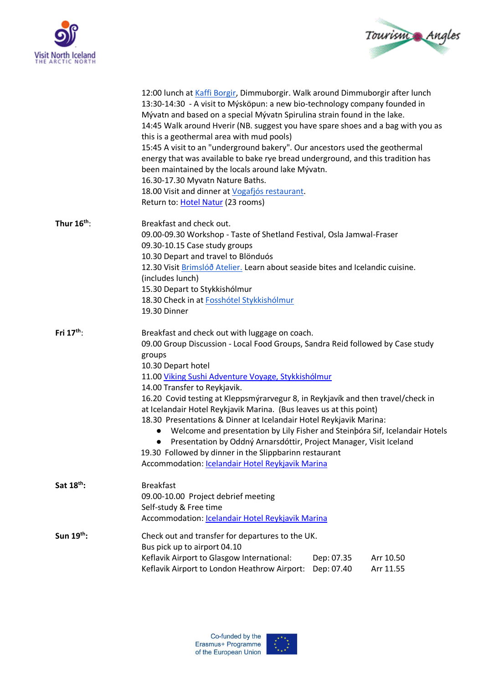



|                        | 12:00 lunch at Kaffi Borgir, Dimmuborgir. Walk around Dimmuborgir after lunch<br>13:30-14:30 - A visit to Mýsköpun: a new bio-technology company founded in<br>Mývatn and based on a special Mývatn Spirulina strain found in the lake.<br>14:45 Walk around Hverir (NB. suggest you have spare shoes and a bag with you as<br>this is a geothermal area with mud pools)<br>15:45 A visit to an "underground bakery". Our ancestors used the geothermal<br>energy that was available to bake rye bread underground, and this tradition has<br>been maintained by the locals around lake Mývatn.<br>16.30-17.30 Myvatn Nature Baths.<br>18.00 Visit and dinner at Vogafjós restaurant.<br>Return to: Hotel Natur (23 rooms)                                               |                                                                                                                                                         |                        |  |
|------------------------|--------------------------------------------------------------------------------------------------------------------------------------------------------------------------------------------------------------------------------------------------------------------------------------------------------------------------------------------------------------------------------------------------------------------------------------------------------------------------------------------------------------------------------------------------------------------------------------------------------------------------------------------------------------------------------------------------------------------------------------------------------------------------|---------------------------------------------------------------------------------------------------------------------------------------------------------|------------------------|--|
| Thur $16^{th}$ :       | Breakfast and check out.<br>09.30-10.15 Case study groups<br>10.30 Depart and travel to Blönduós<br>(includes lunch)<br>15.30 Depart to Stykkishólmur<br>18.30 Check in at Fosshótel Stykkishólmur<br>19.30 Dinner                                                                                                                                                                                                                                                                                                                                                                                                                                                                                                                                                       | 09.00-09.30 Workshop - Taste of Shetland Festival, Osla Jamwal-Fraser<br>12.30 Visit Brimslóð Atelier. Learn about seaside bites and Icelandic cuisine. |                        |  |
| Fri $17^{\text{th}}$ : | Breakfast and check out with luggage on coach.<br>09.00 Group Discussion - Local Food Groups, Sandra Reid followed by Case study<br>groups<br>10.30 Depart hotel<br>11.00 Viking Sushi Adventure Voyage, Stykkishólmur<br>14.00 Transfer to Reykjavik.<br>16.20 Covid testing at Kleppsmýrarvegur 8, in Reykjavík and then travel/check in<br>at Icelandair Hotel Reykjavik Marina. (Bus leaves us at this point)<br>18.30 Presentations & Dinner at Icelandair Hotel Reykjavik Marina:<br>Welcome and presentation by Lily Fisher and Steinbóra Sif, Icelandair Hotels<br>Presentation by Oddný Arnarsdóttir, Project Manager, Visit Iceland<br>$\bullet$<br>19.30 Followed by dinner in the Slippbarinn restaurant<br>Accommodation: Icelandair Hotel Reykjavik Marina |                                                                                                                                                         |                        |  |
| Sat 18 <sup>th</sup> : | <b>Breakfast</b><br>09.00-10.00 Project debrief meeting<br>Self-study & Free time<br>Accommodation: Icelandair Hotel Reykjavik Marina                                                                                                                                                                                                                                                                                                                                                                                                                                                                                                                                                                                                                                    |                                                                                                                                                         |                        |  |
| Sun 19th:              | Check out and transfer for departures to the UK.<br>Bus pick up to airport 04.10<br>Keflavik Airport to Glasgow International:<br>Keflavik Airport to London Heathrow Airport:                                                                                                                                                                                                                                                                                                                                                                                                                                                                                                                                                                                           | Dep: 07.35<br>Dep: 07.40                                                                                                                                | Arr 10.50<br>Arr 11.55 |  |